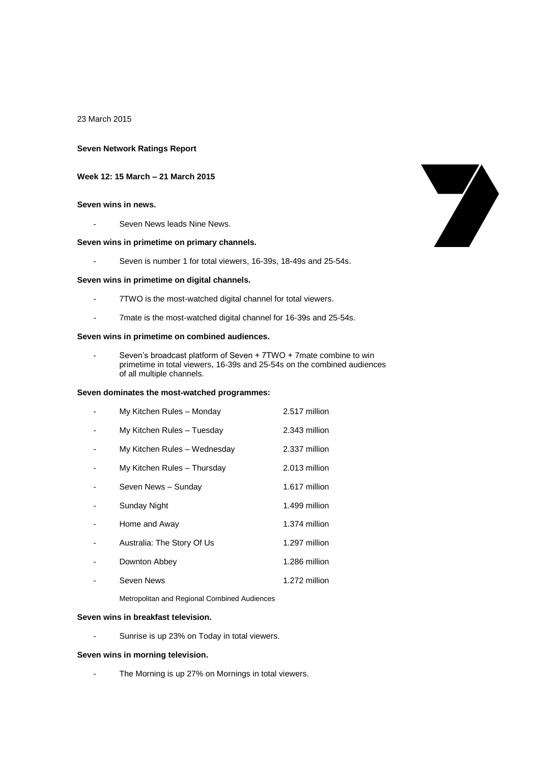23 March 2015

### **Seven Network Ratings Report**

# **Week 12: 15 March – 21 March 2015**

# **Seven wins in news.**

Seven News leads Nine News.

### **Seven wins in primetime on primary channels.**

- Seven is number 1 for total viewers, 16-39s, 18-49s and 25-54s.

#### **Seven wins in primetime on digital channels.**

- 7TWO is the most-watched digital channel for total viewers.
- 7mate is the most-watched digital channel for 16-39s and 25-54s.

### **Seven wins in primetime on combined audiences.**

Seven's broadcast platform of Seven + 7TWO + 7mate combine to win primetime in total viewers, 16-39s and 25-54s on the combined audiences of all multiple channels.

### **Seven dominates the most-watched programmes:**

| My Kitchen Rules - Monday    | 2.517 million |
|------------------------------|---------------|
| My Kitchen Rules - Tuesday   | 2.343 million |
| My Kitchen Rules - Wednesday | 2.337 million |
| My Kitchen Rules - Thursday  | 2.013 million |
| Seven News - Sunday          | 1.617 million |
| Sunday Night                 | 1.499 million |
| Home and Away                | 1.374 million |
| Australia: The Story Of Us   | 1.297 million |
| Downton Abbey                | 1.286 million |
| Seven News                   | 1.272 million |
|                              |               |

Metropolitan and Regional Combined Audiences

### **Seven wins in breakfast television.**

- Sunrise is up 23% on Today in total viewers.

### **Seven wins in morning television.**

- The Morning is up 27% on Mornings in total viewers.

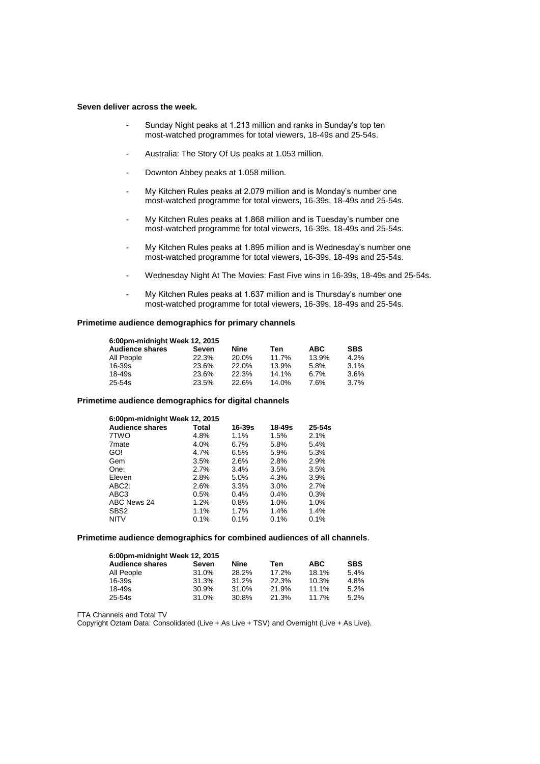### **Seven deliver across the week.**

- Sunday Night peaks at 1.213 million and ranks in Sunday's top ten most-watched programmes for total viewers, 18-49s and 25-54s.
- Australia: The Story Of Us peaks at 1.053 million.
- Downton Abbey peaks at 1.058 million.
- My Kitchen Rules peaks at 2.079 million and is Monday's number one most-watched programme for total viewers, 16-39s, 18-49s and 25-54s.
- My Kitchen Rules peaks at 1.868 million and is Tuesday's number one most-watched programme for total viewers, 16-39s, 18-49s and 25-54s.
- My Kitchen Rules peaks at 1.895 million and is Wednesday's number one most-watched programme for total viewers, 16-39s, 18-49s and 25-54s.
- Wednesday Night At The Movies: Fast Five wins in 16-39s, 18-49s and 25-54s.
- My Kitchen Rules peaks at 1.637 million and is Thursday's number one most-watched programme for total viewers, 16-39s, 18-49s and 25-54s.

## **Primetime audience demographics for primary channels**

| 6:00pm-midnight Week 12, 2015 |       |       |       |            |            |  |
|-------------------------------|-------|-------|-------|------------|------------|--|
| <b>Audience shares</b>        | Seven | Nine  | Ten   | <b>ABC</b> | <b>SBS</b> |  |
| All People                    | 22.3% | 20.0% | 11.7% | 13.9%      | 4.2%       |  |
| 16-39s                        | 23.6% | 22.0% | 13.9% | 5.8%       | 3.1%       |  |
| 18-49s                        | 23.6% | 22.3% | 14.1% | 6.7%       | 3.6%       |  |
| 25-54s                        | 23.5% | 22.6% | 14.0% | 7.6%       | 3.7%       |  |

### **Primetime audience demographics for digital channels**

| 6:00pm-midnight Week 12, 2015 |         |        |            |  |  |
|-------------------------------|---------|--------|------------|--|--|
| Total                         | 16-39s  | 18-49s | $25 - 54s$ |  |  |
| 4.8%                          | $1.1\%$ | 1.5%   | 2.1%       |  |  |
| 4.0%                          | 6.7%    | 5.8%   | 5.4%       |  |  |
| 4.7%                          | 6.5%    | 5.9%   | 5.3%       |  |  |
| 3.5%                          | 2.6%    | 2.8%   | 2.9%       |  |  |
| 2.7%                          | 3.4%    | 3.5%   | 3.5%       |  |  |
| 2.8%                          | 5.0%    | 4.3%   | 3.9%       |  |  |
| 2.6%                          | 3.3%    | 3.0%   | 2.7%       |  |  |
| 0.5%                          | 0.4%    | 0.4%   | 0.3%       |  |  |
| 1.2%                          | 0.8%    | 1.0%   | 1.0%       |  |  |
| $1.1\%$                       | 1.7%    | 1.4%   | 1.4%       |  |  |
| 0.1%                          | 0.1%    | 0.1%   | 0.1%       |  |  |
|                               |         |        |            |  |  |

## **Primetime audience demographics for combined audiences of all channels**.

| 6:00pm-midnight Week 12, 2015 |       |             |       |       |            |  |  |
|-------------------------------|-------|-------------|-------|-------|------------|--|--|
| <b>Audience shares</b>        | Seven | <b>Nine</b> | Ten   | ABC.  | <b>SBS</b> |  |  |
| All People                    | 31.0% | 28.2%       | 17.2% | 18.1% | 5.4%       |  |  |
| $16 - 39s$                    | 31.3% | 31.2%       | 22.3% | 10.3% | 4.8%       |  |  |
| 18-49s                        | 30.9% | 31.0%       | 21.9% | 11.1% | 5.2%       |  |  |
| 25-54s                        | 31.0% | 30.8%       | 21.3% | 11.7% | 5.2%       |  |  |

FTA Channels and Total TV

Copyright Oztam Data: Consolidated (Live + As Live + TSV) and Overnight (Live + As Live).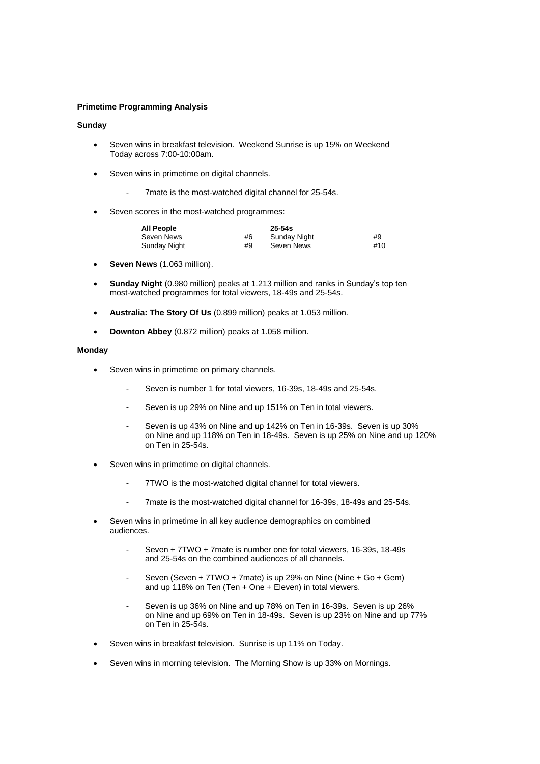### **Primetime Programming Analysis**

### **Sunday**

- Seven wins in breakfast television. Weekend Sunrise is up 15% on Weekend Today across 7:00-10:00am.
- Seven wins in primetime on digital channels.
	- 7mate is the most-watched digital channel for 25-54s.
- Seven scores in the most-watched programmes:

| <b>All People</b> |    | $25-54s$     |     |
|-------------------|----|--------------|-----|
| Seven News        | #6 | Sunday Night | #9  |
| Sunday Night      | #9 | Seven News   | #10 |

- **Seven News** (1.063 million).
- **Sunday Night** (0.980 million) peaks at 1.213 million and ranks in Sunday's top ten most-watched programmes for total viewers, 18-49s and 25-54s.
- **Australia: The Story Of Us** (0.899 million) peaks at 1.053 million.
- **Downton Abbey** (0.872 million) peaks at 1.058 million.

#### **Monday**

- Seven wins in primetime on primary channels.
	- Seven is number 1 for total viewers, 16-39s, 18-49s and 25-54s.
	- Seven is up 29% on Nine and up 151% on Ten in total viewers.
	- Seven is up 43% on Nine and up 142% on Ten in 16-39s. Seven is up 30% on Nine and up 118% on Ten in 18-49s. Seven is up 25% on Nine and up 120% on Ten in 25-54s.
- Seven wins in primetime on digital channels.
	- 7TWO is the most-watched digital channel for total viewers.
	- 7mate is the most-watched digital channel for 16-39s, 18-49s and 25-54s.
- Seven wins in primetime in all key audience demographics on combined audiences.
	- Seven + 7TWO + 7mate is number one for total viewers, 16-39s, 18-49s and 25-54s on the combined audiences of all channels.
	- Seven (Seven + 7TWO + 7mate) is up 29% on Nine (Nine + Go + Gem) and up 118% on Ten (Ten + One + Eleven) in total viewers.
	- Seven is up 36% on Nine and up 78% on Ten in 16-39s. Seven is up 26% on Nine and up 69% on Ten in 18-49s. Seven is up 23% on Nine and up 77% on Ten in 25-54s.
- Seven wins in breakfast television. Sunrise is up 11% on Today.
- Seven wins in morning television. The Morning Show is up 33% on Mornings.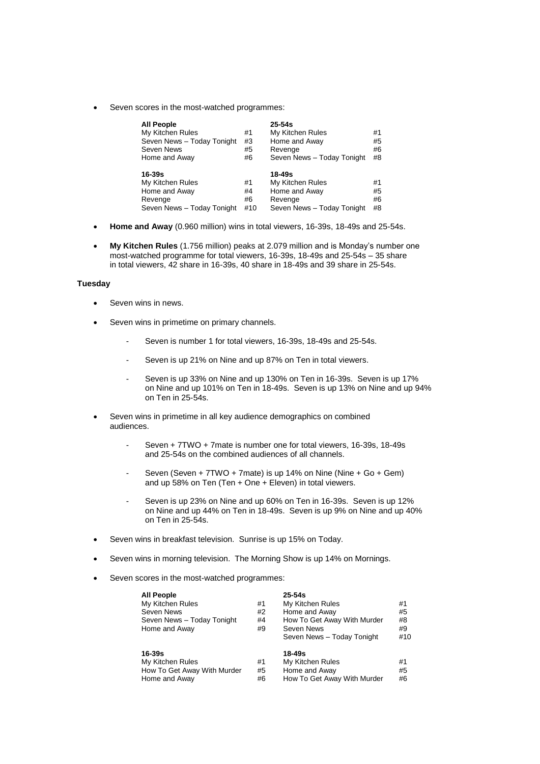Seven scores in the most-watched programmes:

| <b>All People</b><br>My Kitchen Rules<br>Seven News - Today Tonight<br>Seven News<br>Home and Away | #1<br>#3<br>#5<br>#6 | $25 - 54s$<br>My Kitchen Rules<br>Home and Away<br>Revenge<br>Seven News - Today Tonight | #1<br>#5<br>#6<br>#8 |
|----------------------------------------------------------------------------------------------------|----------------------|------------------------------------------------------------------------------------------|----------------------|
| 16-39s                                                                                             |                      | 18-49s                                                                                   |                      |
| My Kitchen Rules                                                                                   | #1                   | My Kitchen Rules                                                                         | #1                   |
| Home and Away                                                                                      | #4                   | Home and Away                                                                            | #5                   |
| Revenge                                                                                            | #6                   | Revenge                                                                                  | #6                   |
| Seven News - Today Tonight                                                                         | #10                  | Seven News - Today Tonight                                                               | #8                   |

- **Home and Away** (0.960 million) wins in total viewers, 16-39s, 18-49s and 25-54s.
- **My Kitchen Rules** (1.756 million) peaks at 2.079 million and is Monday's number one most-watched programme for total viewers, 16-39s, 18-49s and 25-54s – 35 share in total viewers, 42 share in 16-39s, 40 share in 18-49s and 39 share in 25-54s.

### **Tuesday**

- Seven wins in news.
- Seven wins in primetime on primary channels.
	- Seven is number 1 for total viewers, 16-39s, 18-49s and 25-54s.
	- Seven is up 21% on Nine and up 87% on Ten in total viewers.
	- Seven is up 33% on Nine and up 130% on Ten in 16-39s. Seven is up 17% on Nine and up 101% on Ten in 18-49s. Seven is up 13% on Nine and up 94% on Ten in 25-54s.
- Seven wins in primetime in all key audience demographics on combined audiences.
	- Seven + 7TWO + 7mate is number one for total viewers, 16-39s, 18-49s and 25-54s on the combined audiences of all channels.
	- Seven (Seven + 7TWO + 7mate) is up 14% on Nine (Nine + Go + Gem) and up 58% on Ten (Ten + One + Eleven) in total viewers.
	- Seven is up 23% on Nine and up 60% on Ten in 16-39s. Seven is up 12% on Nine and up 44% on Ten in 18-49s. Seven is up 9% on Nine and up 40% on Ten in 25-54s.
- Seven wins in breakfast television. Sunrise is up 15% on Today.
- Seven wins in morning television. The Morning Show is up 14% on Mornings.
- Seven scores in the most-watched programmes:

| All People<br>My Kitchen Rules<br>Seven News<br>Seven News - Today Tonight<br>Home and Away | #1<br>#2<br>#4<br>#9 | $25 - 54s$<br>My Kitchen Rules<br>Home and Away<br>How To Get Away With Murder<br>Seven News<br>Seven News - Today Tonight | #1<br>#5<br>#8<br>#9<br>#10 |
|---------------------------------------------------------------------------------------------|----------------------|----------------------------------------------------------------------------------------------------------------------------|-----------------------------|
| 16-39s<br>My Kitchen Rules<br>How To Get Away With Murder<br>Home and Away                  | #1<br>#5<br>#6       | 18-49s<br>My Kitchen Rules<br>Home and Away<br>How To Get Away With Murder                                                 | #1<br>#5<br>#6              |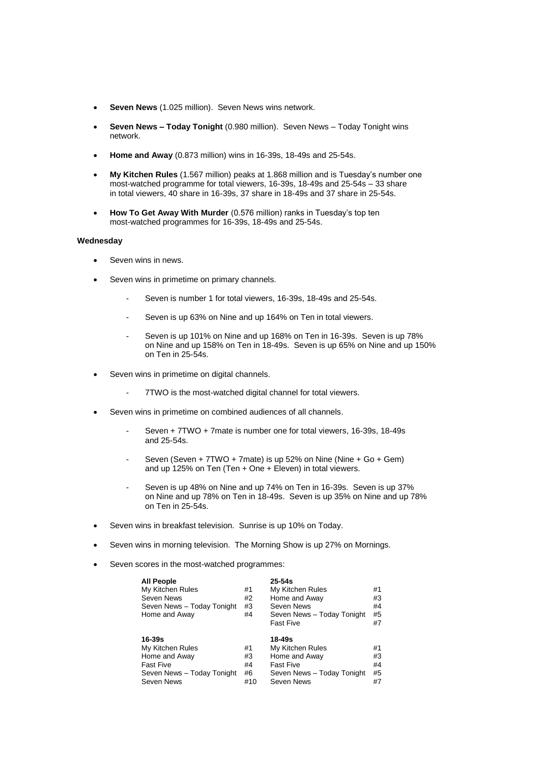- **Seven News** (1.025 million). Seven News wins network.
- **Seven News – Today Tonight** (0.980 million). Seven News Today Tonight wins network.
- **Home and Away** (0.873 million) wins in 16-39s, 18-49s and 25-54s.
- **My Kitchen Rules** (1.567 million) peaks at 1.868 million and is Tuesday's number one most-watched programme for total viewers, 16-39s, 18-49s and 25-54s – 33 share in total viewers, 40 share in 16-39s, 37 share in 18-49s and 37 share in 25-54s.
- **How To Get Away With Murder** (0.576 million) ranks in Tuesday's top ten most-watched programmes for 16-39s, 18-49s and 25-54s.

#### **Wednesday**

- Seven wins in news.
- Seven wins in primetime on primary channels.
	- Seven is number 1 for total viewers, 16-39s, 18-49s and 25-54s.
	- Seven is up 63% on Nine and up 164% on Ten in total viewers.
	- Seven is up 101% on Nine and up 168% on Ten in 16-39s. Seven is up 78% on Nine and up 158% on Ten in 18-49s. Seven is up 65% on Nine and up 150% on Ten in 25-54s.
- Seven wins in primetime on digital channels.
	- 7TWO is the most-watched digital channel for total viewers.
- Seven wins in primetime on combined audiences of all channels.
	- Seven + 7TWO + 7mate is number one for total viewers, 16-39s, 18-49s and 25-54s.
	- Seven (Seven + 7TWO + 7mate) is up 52% on Nine (Nine + Go + Gem) and up 125% on Ten (Ten + One + Eleven) in total viewers.
	- Seven is up 48% on Nine and up 74% on Ten in 16-39s. Seven is up 37% on Nine and up 78% on Ten in 18-49s. Seven is up 35% on Nine and up 78% on Ten in 25-54s.
- Seven wins in breakfast television. Sunrise is up 10% on Today.
- Seven wins in morning television. The Morning Show is up 27% on Mornings.
- Seven scores in the most-watched programmes:

| <b>All People</b>          |    | $25 - 54s$                 |    |
|----------------------------|----|----------------------------|----|
| My Kitchen Rules           | #1 | My Kitchen Rules           | #1 |
| Seven News                 | #2 | Home and Away              | #3 |
| Seven News - Today Tonight | #3 | Seven News                 | #4 |
| Home and Away              | #4 | Seven News - Today Tonight | #5 |
|                            |    | <b>Fast Five</b>           | #7 |
|                            |    |                            |    |
| 16-39s                     |    | 18-49s                     |    |
| My Kitchen Rules           | #1 | My Kitchen Rules           | #1 |
| Home and Away              | #3 | Home and Away              | #3 |
| <b>Fast Five</b>           | #4 | <b>Fast Five</b>           | #4 |
| Seven News - Today Tonight | #6 | Seven News - Today Tonight | #5 |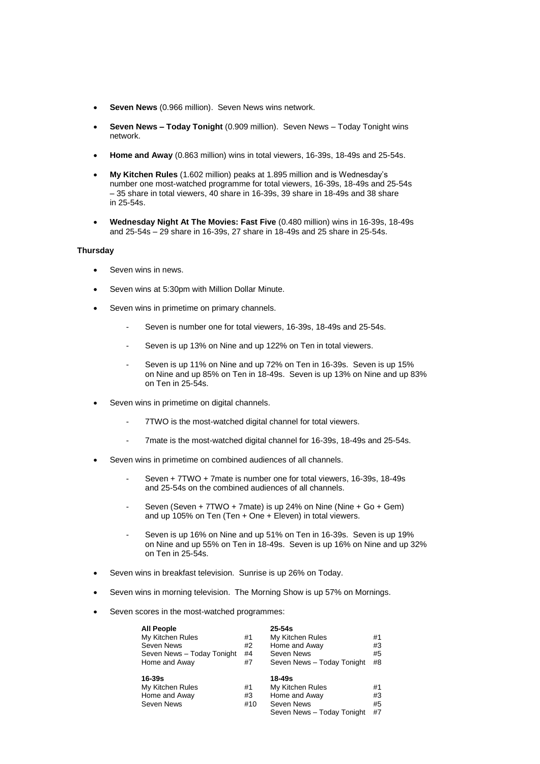- **Seven News** (0.966 million). Seven News wins network.
- **Seven News – Today Tonight** (0.909 million). Seven News Today Tonight wins network.
- **Home and Away** (0.863 million) wins in total viewers, 16-39s, 18-49s and 25-54s.
- **My Kitchen Rules** (1.602 million) peaks at 1.895 million and is Wednesday's number one most-watched programme for total viewers, 16-39s, 18-49s and 25-54s – 35 share in total viewers, 40 share in 16-39s, 39 share in 18-49s and 38 share in 25-54s.
- **Wednesday Night At The Movies: Fast Five** (0.480 million) wins in 16-39s, 18-49s and 25-54s – 29 share in 16-39s, 27 share in 18-49s and 25 share in 25-54s.

### **Thursday**

- Seven wins in news.
- Seven wins at 5:30pm with Million Dollar Minute.
- Seven wins in primetime on primary channels.
	- Seven is number one for total viewers, 16-39s, 18-49s and 25-54s.
	- Seven is up 13% on Nine and up 122% on Ten in total viewers.
	- Seven is up 11% on Nine and up 72% on Ten in 16-39s. Seven is up 15% on Nine and up 85% on Ten in 18-49s. Seven is up 13% on Nine and up 83% on Ten in 25-54s.
- Seven wins in primetime on digital channels.
	- 7TWO is the most-watched digital channel for total viewers.
	- 7mate is the most-watched digital channel for 16-39s, 18-49s and 25-54s.
- Seven wins in primetime on combined audiences of all channels.
	- Seven + 7TWO + 7mate is number one for total viewers, 16-39s, 18-49s and 25-54s on the combined audiences of all channels.
	- Seven (Seven + 7TWO + 7mate) is up 24% on Nine (Nine +  $Go + Gem)$ and up 105% on Ten (Ten + One + Eleven) in total viewers.
	- Seven is up 16% on Nine and up 51% on Ten in 16-39s. Seven is up 19% on Nine and up 55% on Ten in 18-49s. Seven is up 16% on Nine and up 32% on Ten in 25-54s.
- Seven wins in breakfast television. Sunrise is up 26% on Today.
- Seven wins in morning television. The Morning Show is up 57% on Mornings.
- Seven scores in the most-watched programmes:

| <b>All People</b>          |     | $25 - 54s$                 |    |
|----------------------------|-----|----------------------------|----|
| My Kitchen Rules           | #1  | My Kitchen Rules           | #1 |
| Seven News                 | #2  | Home and Away              | #3 |
| Seven News - Today Tonight | #4  | Seven News                 | #5 |
| Home and Away              | #7  | Seven News - Today Tonight | #8 |
|                            |     |                            |    |
| 16-39s                     |     | 18-49s                     |    |
| My Kitchen Rules           | #1  | My Kitchen Rules           | #1 |
| Home and Away              | #3  | Home and Away              | #3 |
| Seven News                 | #10 | Seven News                 | #5 |
|                            |     | Seven News - Today Tonight | #7 |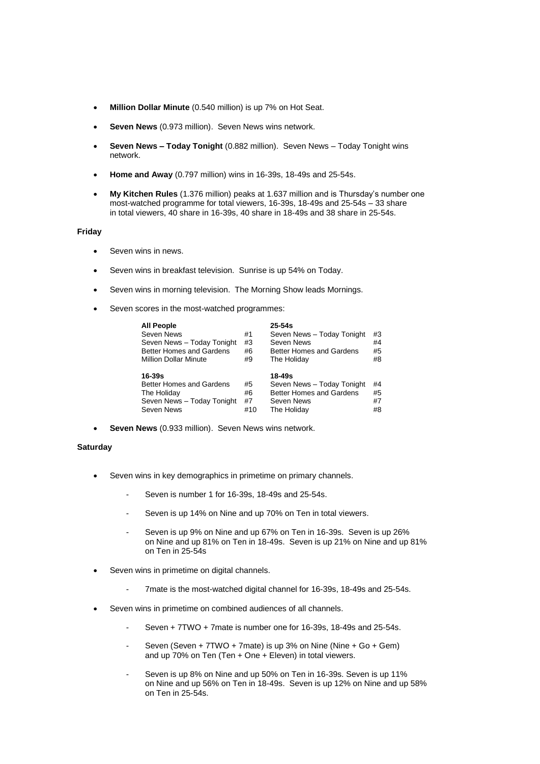- **Million Dollar Minute** (0.540 million) is up 7% on Hot Seat.
- **Seven News** (0.973 million). Seven News wins network.
- **Seven News – Today Tonight** (0.882 million). Seven News Today Tonight wins network.
- **Home and Away** (0.797 million) wins in 16-39s, 18-49s and 25-54s.
- **My Kitchen Rules** (1.376 million) peaks at 1.637 million and is Thursday's number one most-watched programme for total viewers, 16-39s, 18-49s and 25-54s – 33 share in total viewers, 40 share in 16-39s, 40 share in 18-49s and 38 share in 25-54s.

### **Friday**

- Seven wins in news.
- Seven wins in breakfast television. Sunrise is up 54% on Today.
- Seven wins in morning television. The Morning Show leads Mornings.
- Seven scores in the most-watched programmes:

| <b>All People</b>               |     | $25 - 54s$                 |    |
|---------------------------------|-----|----------------------------|----|
| Seven News                      | #1  | Seven News - Today Tonight | #3 |
| Seven News - Today Tonight      | #3  | Seven News                 | #4 |
| Better Homes and Gardens        | #6  | Better Homes and Gardens   | #5 |
| <b>Million Dollar Minute</b>    | #9  | The Holiday                | #8 |
| $16-39s$                        |     | 18-49s                     |    |
| <b>Better Homes and Gardens</b> | #5  | Seven News - Today Tonight | #4 |
| The Holiday                     | #6  | Better Homes and Gardens   | #5 |
| Seven News - Today Tonight      | #7  | Seven News                 | #7 |
| Seven News                      | #10 | The Holiday                | #8 |

**Seven News** (0.933 million). Seven News wins network.

## **Saturday**

- Seven wins in key demographics in primetime on primary channels.
	- Seven is number 1 for 16-39s, 18-49s and 25-54s.
	- Seven is up 14% on Nine and up 70% on Ten in total viewers.
	- Seven is up 9% on Nine and up 67% on Ten in 16-39s. Seven is up 26% on Nine and up 81% on Ten in 18-49s. Seven is up 21% on Nine and up 81% on Ten in 25-54s
- Seven wins in primetime on digital channels.
	- 7mate is the most-watched digital channel for 16-39s, 18-49s and 25-54s.
- Seven wins in primetime on combined audiences of all channels.
	- Seven + 7TWO + 7mate is number one for 16-39s, 18-49s and 25-54s.
	- Seven (Seven + 7TWO + 7mate) is up 3% on Nine (Nine + Go + Gem) and up 70% on Ten (Ten + One + Eleven) in total viewers.
	- Seven is up 8% on Nine and up 50% on Ten in 16-39s. Seven is up 11% on Nine and up 56% on Ten in 18-49s. Seven is up 12% on Nine and up 58% on Ten in 25-54s.